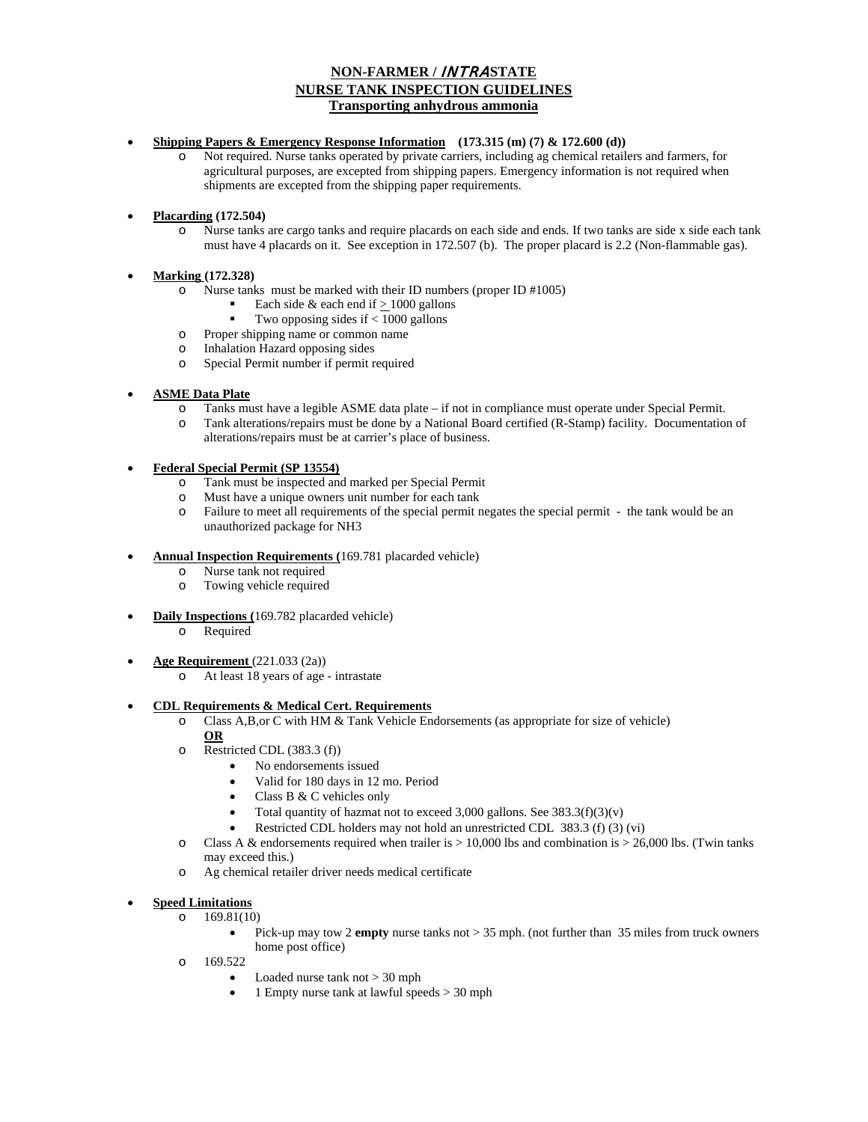# **NON-FARMER /** INTRA**STATE NURSE TANK INSPECTION GUIDELINES Transporting anhydrous ammonia**

### • **Shipping Papers & Emergency Response Information (173.315 (m) (7) & 172.600 (d))**

- o Not required. Nurse tanks operated by private carriers, including ag chemical retailers and farmers, for agricultural purposes, are excepted from shipping papers. Emergency information is not required when shipments are excepted from the shipping paper requirements.
- **Placarding (172.504)** 
	- o Nurse tanks are cargo tanks and require placards on each side and ends. If two tanks are side x side each tank must have 4 placards on it. See exception in 172.507 (b). The proper placard is 2.2 (Non-flammable gas).

# • **Marking (172.328)**

- o Nurse tanks must be marked with their ID numbers (proper ID #1005)
	- Each side & each end if  $\geq 1000$  gallons
	- Two opposing sides if < 1000 gallons
- o Proper shipping name or common name
- o Inhalation Hazard opposing sides
- o Special Permit number if permit required

# • **ASME Data Plate**

- o Tanks must have a legible ASME data plate if not in compliance must operate under Special Permit.
- o Tank alterations/repairs must be done by a National Board certified (R-Stamp) facility. Documentation of alterations/repairs must be at carrier's place of business.

# • **Federal Special Permit (SP 13554)**

- o Tank must be inspected and marked per Special Permit
- o Must have a unique owners unit number for each tank
- o Failure to meet all requirements of the special permit negates the special permit the tank would be an unauthorized package for NH3

# • **Annual Inspection Requirements (**169.781 placarded vehicle)

- o Nurse tank not required
- o Towing vehicle required
- **Daily Inspections (**169.782 placarded vehicle)
	- o Required
- **Age Requirement** (221.033 (2a))
	- o At least 18 years of age intrastate
- **CDL Requirements & Medical Cert. Requirements**
	- o Class A,B,or C with HM & Tank Vehicle Endorsements (as appropriate for size of vehicle) **OR**
	- o Restricted CDL (383.3 (f))
		- No endorsements issued
			- Valid for 180 days in 12 mo. Period
			- Class B & C vehicles only
			- Total quantity of hazmat not to exceed 3,000 gallons. See  $383.3(f)(3)(v)$
			- Restricted CDL holders may not hold an unrestricted CDL 383.3 (f) (3) (vi)
	- $\circ$  Class A & endorsements required when trailer is  $> 10,000$  lbs and combination is  $> 26,000$  lbs. (Twin tanks may exceed this.)
	- o Ag chemical retailer driver needs medical certificate

# • **Speed Limitations**

- $0$  169.81(10)
	- Pick-up may tow 2 **empty** nurse tanks not > 35 mph. (not further than 35 miles from truck owners home post office)
- o 169.522
	- Loaded nurse tank not > 30 mph
	- 1 Empty nurse tank at lawful speeds > 30 mph